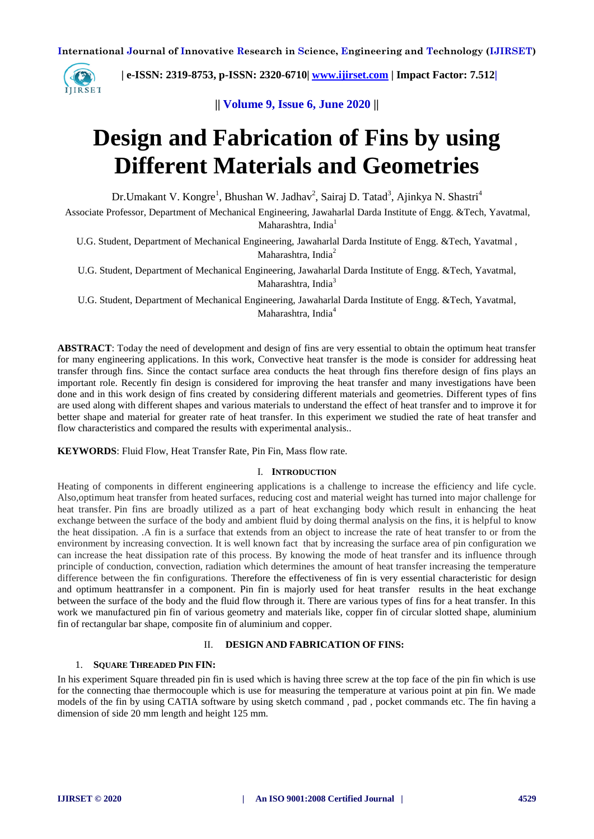

 **| e-ISSN: 2319-8753, p-ISSN: 2320-6710| [www.ijirset.com](http://www.ijirset.com/) | Impact Factor: 7.512|**

**|| Volume 9, Issue 6, June 2020 ||**

# **Design and Fabrication of Fins by using Different Materials and Geometries**

Dr.Umakant V. Kongre<sup>1</sup>, Bhushan W. Jadhav<sup>2</sup>, Sairaj D. Tatad<sup>3</sup>, Ajinkya N. Shastri<sup>4</sup>

Associate Professor, Department of Mechanical Engineering, Jawaharlal Darda Institute of Engg. &Tech, Yavatmal, Maharashtra, India $<sup>1</sup>$ </sup>

U.G. Student, Department of Mechanical Engineering, Jawaharlal Darda Institute of Engg. &Tech, Yavatmal , Maharashtra, India<sup>2</sup>

U.G. Student, Department of Mechanical Engineering, Jawaharlal Darda Institute of Engg. &Tech, Yavatmal, Maharashtra, India<sup>3</sup>

U.G. Student, Department of Mechanical Engineering, Jawaharlal Darda Institute of Engg. &Tech, Yavatmal, Maharashtra, India<sup>4</sup>

**ABSTRACT**: Today the need of development and design of fins are very essential to obtain the optimum heat transfer for many engineering applications. In this work, Convective heat transfer is the mode is consider for addressing heat transfer through fins. Since the contact surface area conducts the heat through fins therefore design of fins plays an important role. Recently fin design is considered for improving the heat transfer and many investigations have been done and in this work design of fins created by considering different materials and geometries. Different types of fins are used along with different shapes and various materials to understand the effect of heat transfer and to improve it for better shape and material for greater rate of heat transfer. In this experiment we studied the rate of heat transfer and flow characteristics and compared the results with experimental analysis..

**KEYWORDS**: Fluid Flow, Heat Transfer Rate, Pin Fin, Mass flow rate.

#### I. **INTRODUCTION**

Heating of components in different engineering applications is a challenge to increase the efficiency and life cycle. Also,optimum heat transfer from heated surfaces, reducing cost and material weight has turned into major challenge for heat transfer. Pin fins are broadly utilized as a part of heat exchanging body which result in enhancing the heat exchange between the surface of the body and ambient fluid by doing thermal analysis on the fins, it is helpful to know the heat dissipation. .A fin is a surface that extends from an object to increase the rate of heat transfer to or from the environment by increasing convection. It is well known fact that by increasing the surface area of pin configuration we can increase the heat dissipation rate of this process. By knowing the mode of heat transfer and its influence through principle of conduction, convection, radiation which determines the amount of heat transfer increasing the temperature difference between the fin configurations. Therefore the effectiveness of fin is very essential characteristic for design and optimum heattransfer in a component. Pin fin is majorly used for heat transfer results in the heat exchange between the surface of the body and the fluid flow through it. There are various types of fins for a heat transfer. In this work we manufactured pin fin of various geometry and materials like, copper fin of circular slotted shape, aluminium fin of rectangular bar shape, composite fin of aluminium and copper.

#### II. **DESIGN AND FABRICATION OF FINS:**

## 1. **SQUARE THREADED PIN FIN:**

In his experiment Square threaded pin fin is used which is having three screw at the top face of the pin fin which is use for the connecting thae thermocouple which is use for measuring the temperature at various point at pin fin. We made models of the fin by using CATIA software by using sketch command , pad , pocket commands etc. The fin having a dimension of side 20 mm length and height 125 mm.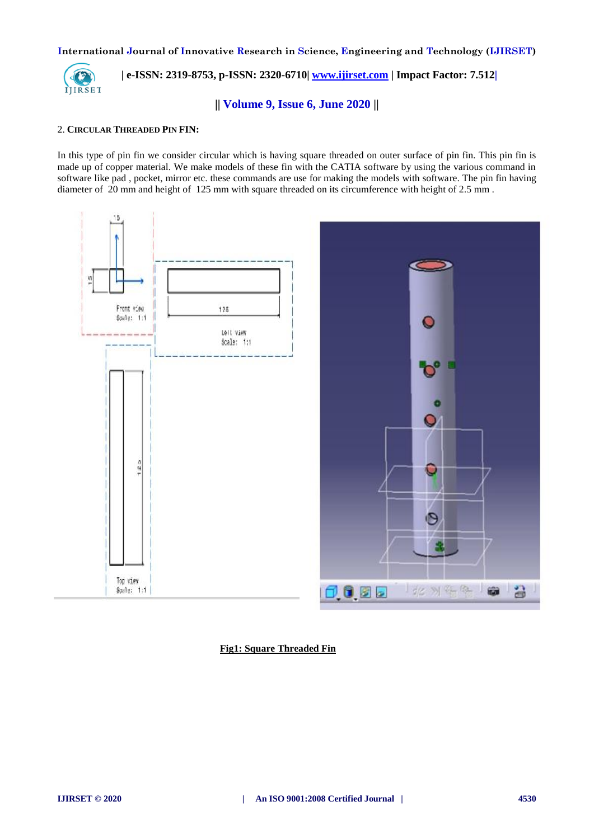

 **| e-ISSN: 2319-8753, p-ISSN: 2320-6710| [www.ijirset.com](http://www.ijirset.com/) | Impact Factor: 7.512|**

**|| Volume 9, Issue 6, June 2020 ||**

## 2. **CIRCULAR THREADED PIN FIN:**

In this type of pin fin we consider circular which is having square threaded on outer surface of pin fin. This pin fin is made up of copper material. We make models of these fin with the CATIA software by using the various command in software like pad , pocket, mirror etc. these commands are use for making the models with software. The pin fin having diameter of 20 mm and height of 125 mm with square threaded on its circumference with height of 2.5 mm .



**Fig1: Square Threaded Fin**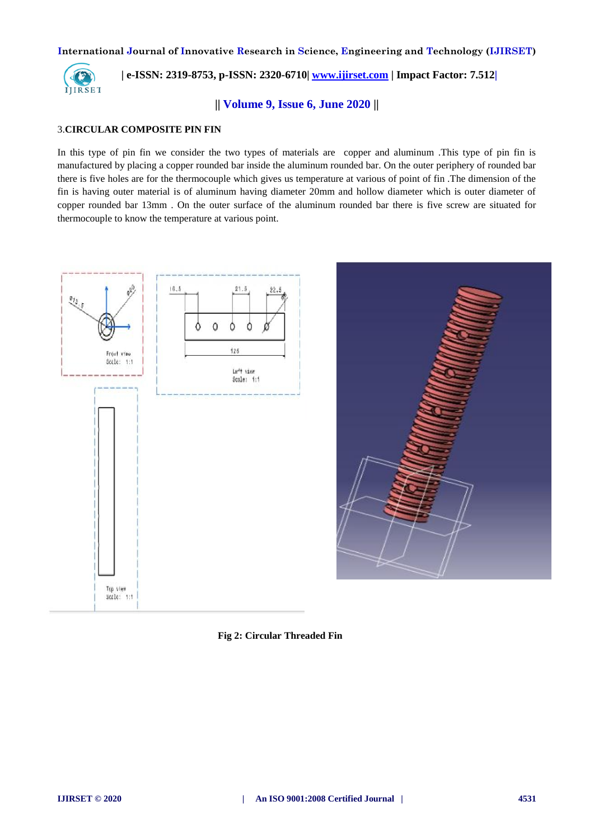

 **| e-ISSN: 2319-8753, p-ISSN: 2320-6710| [www.ijirset.com](http://www.ijirset.com/) | Impact Factor: 7.512|**

**|| Volume 9, Issue 6, June 2020 ||**

## 3.**CIRCULAR COMPOSITE PIN FIN**

In this type of pin fin we consider the two types of materials are copper and aluminum .This type of pin fin is manufactured by placing a copper rounded bar inside the aluminum rounded bar. On the outer periphery of rounded bar there is five holes are for the thermocouple which gives us temperature at various of point of fin .The dimension of the fin is having outer material is of aluminum having diameter 20mm and hollow diameter which is outer diameter of copper rounded bar 13mm . On the outer surface of the aluminum rounded bar there is five screw are situated for thermocouple to know the temperature at various point.



**Fig 2: Circular Threaded Fin**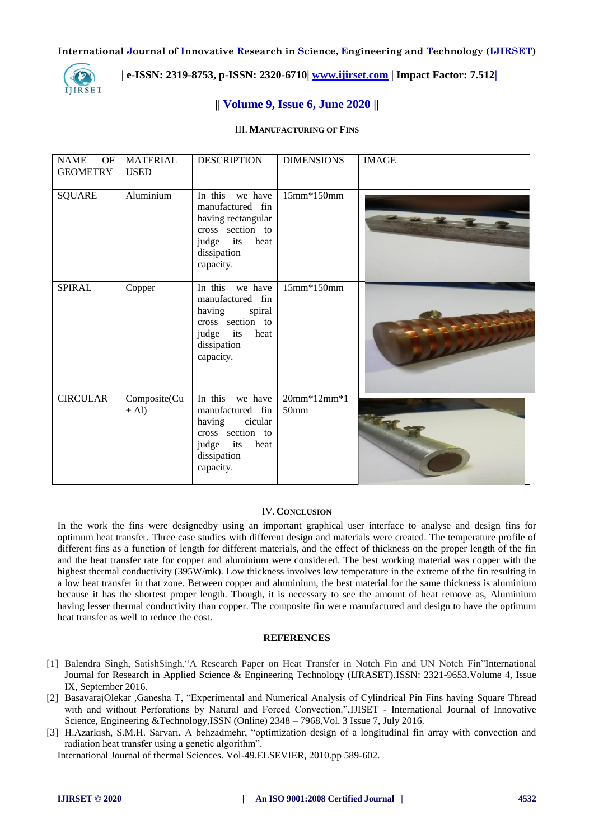

 **| e-ISSN: 2319-8753, p-ISSN: 2320-6710| [www.ijirset.com](http://www.ijirset.com/) | Impact Factor: 7.512|**

# **|| Volume 9, Issue 6, June 2020 ||**

# III. **MANUFACTURING OF FINS**

| <b>NAME</b><br>OF<br><b>GEOMETRY</b> | <b>MATERIAL</b><br><b>USED</b> | <b>DESCRIPTION</b>                                                                                                                | <b>DIMENSIONS</b>                 | <b>IMAGE</b> |
|--------------------------------------|--------------------------------|-----------------------------------------------------------------------------------------------------------------------------------|-----------------------------------|--------------|
| <b>SQUARE</b>                        | Aluminium                      | In this we have<br>manufactured fin<br>having rectangular<br>cross section to<br>judge<br>its<br>heat<br>dissipation<br>capacity. | 15mm*150mm                        |              |
| <b>SPIRAL</b>                        | Copper                         | In this we have<br>manufactured fin<br>having<br>spiral<br>cross section to<br>heat<br>judge<br>its<br>dissipation<br>capacity.   | 15mm*150mm                        |              |
| <b>CIRCULAR</b>                      | Composite(Cu<br>$+$ Al)        | In this we have<br>manufactured fin<br>cicular<br>having<br>cross section to<br>judge<br>its<br>heat<br>dissipation<br>capacity.  | $20mm*12mm*1$<br>50 <sub>mm</sub> |              |

#### IV.**CONCLUSION**

In the work the fins were designedby using an important graphical user interface to analyse and design fins for optimum heat transfer. Three case studies with different design and materials were created. The temperature profile of different fins as a function of length for different materials, and the effect of thickness on the proper length of the fin and the heat transfer rate for copper and aluminium were considered. The best working material was copper with the highest thermal conductivity (395W/mk). Low thickness involves low temperature in the extreme of the fin resulting in a low heat transfer in that zone. Between copper and aluminium, the best material for the same thickness is aluminium because it has the shortest proper length. Though, it is necessary to see the amount of heat remove as, Aluminium having lesser thermal conductivity than copper. The composite fin were manufactured and design to have the optimum heat transfer as well to reduce the cost.

#### **REFERENCES**

- [1] Balendra Singh, SatishSingh,"A Research Paper on Heat Transfer in Notch Fin and UN Notch Fin"International Journal for Research in Applied Science & Engineering Technology (IJRASET).ISSN: 2321-9653.Volume 4, Issue IX, September 2016.
- [2] BasavarajOlekar *,*Ganesha T, "Experimental and Numerical Analysis of Cylindrical Pin Fins having Square Thread with and without Perforations by Natural and Forced Convection.",IJISET - International Journal of Innovative Science, Engineering &Technology,ISSN (Online) 2348 – 7968,Vol. 3 Issue 7, July 2016.
- [3] H.Azarkish, S.M.H. Sarvari, A behzadmehr, "optimization design of a longitudinal fin array with convection and radiation heat transfer using a genetic algorithm".

International Journal of thermal Sciences. Vol-49.ELSEVIER, 2010.pp 589-602.